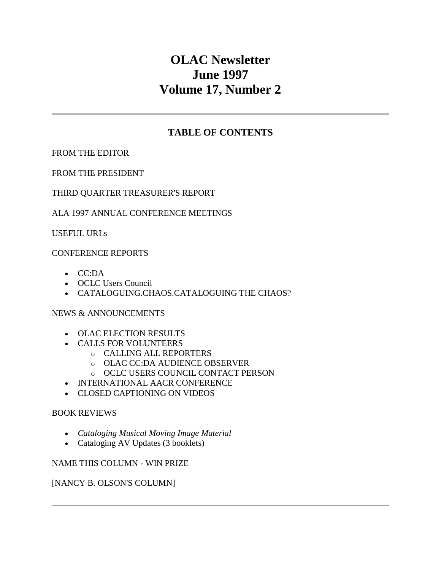# **OLAC Newsletter June 1997 Volume 17, Number 2**

## **TABLE OF CONTENTS**

[FROM THE EDITOR](http://ublib.buffalo.edu/libraries/units/cts/olac/newsletters/june97.html#editor)

[FROM THE PRESIDENT](http://ublib.buffalo.edu/libraries/units/cts/olac/newsletters/june97.html#president)

## [THIRD QUARTER TREASURER'S REPORT](http://ublib.buffalo.edu/libraries/units/cts/olac/newsletters/june97.html#treasurer)

## [ALA 1997 ANNUAL CONFERENCE MEETINGS](http://ublib.buffalo.edu/libraries/units/cts/olac/newsletters/june97.html#ala97)

[USEFUL URLs](http://ublib.buffalo.edu/libraries/units/cts/olac/newsletters/june97.html#urls)

### [CONFERENCE REPORTS](http://ublib.buffalo.edu/libraries/units/cts/olac/newsletters/june97.html#conference)

- [CC:DA](http://ublib.buffalo.edu/libraries/units/cts/olac/newsletters/june97.html#ccda)
- [OCLC Users Council](http://ublib.buffalo.edu/libraries/units/cts/olac/newsletters/june97.html#oclcusers)
- [CATALOGUING.CHAOS.CATALOGUING THE CHAOS?](http://ublib.buffalo.edu/libraries/units/cts/olac/newsletters/june97.html#chaos)

### [NEWS & ANNOUNCEMENTS](http://ublib.buffalo.edu/libraries/units/cts/olac/newsletters/june97.html#news)

- [OLAC ELECTION RESULTS](http://ublib.buffalo.edu/libraries/units/cts/olac/newsletters/june97.html#election)
- [CALLS FOR VOLUNTEERS](http://ublib.buffalo.edu/libraries/units/cts/olac/newsletters/june97.html#volunteers)
	- o [CALLING ALL REPORTERS](http://ublib.buffalo.edu/libraries/units/cts/olac/newsletters/june97.html#reporters)
	- o [OLAC CC:DA AUDIENCE OBSERVER](http://ublib.buffalo.edu/libraries/units/cts/olac/newsletters/june97.html#observer)
	- o [OCLC USERS COUNCIL CONTACT PERSON](http://ublib.buffalo.edu/libraries/units/cts/olac/newsletters/june97.html#contact)
- [INTERNATIONAL AACR CONFERENCE](http://ublib.buffalo.edu/libraries/units/cts/olac/newsletters/june97.html#aacr)
- [CLOSED CAPTIONING ON VIDEOS](http://ublib.buffalo.edu/libraries/units/cts/olac/newsletters/june97.html#captioning)

### [BOOK REVIEWS](http://ublib.buffalo.edu/libraries/units/cts/olac/newsletters/june97.html#reviews)

- *[Cataloging Musical Moving Image Material](http://ublib.buffalo.edu/libraries/units/cts/olac/newsletters/june97.html#musical)*
- [Cataloging AV Updates \(3 booklets\)](http://ublib.buffalo.edu/libraries/units/cts/olac/newsletters/june97.html#avupdates)

### [NAME THIS COLUMN -](http://ublib.buffalo.edu/libraries/units/cts/olac/newsletters/june97.html#column) WIN PRIZE

### [\[NANCY B. OLSON'S COLUMN\]](http://ublib.buffalo.edu/libraries/units/cts/olac/newsletters/june97.html#olson)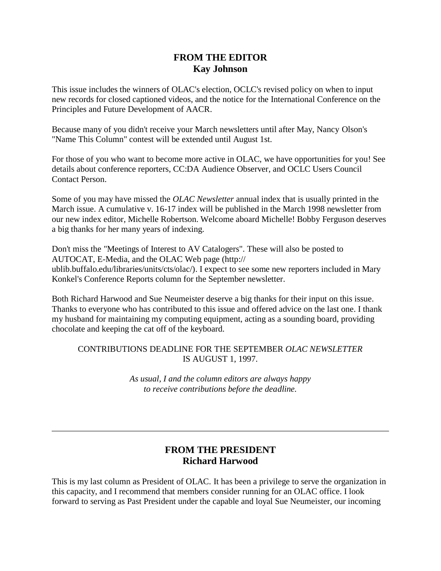## **FROM THE EDITOR Kay Johnson**

This issue includes the winners of [OLAC's election,](http://ublib.buffalo.edu/libraries/units/cts/olac/newsletters/june97.html#election) OCLC's revised policy on when to input new records for [closed captioned videos,](http://ublib.buffalo.edu/libraries/units/cts/olac/newsletters/june97.html#captioning) and the notice for the [International Conference on the](http://ublib.buffalo.edu/libraries/units/cts/olac/newsletters/june97.html#aacr)  [Principles and Future Development of AACR.](http://ublib.buffalo.edu/libraries/units/cts/olac/newsletters/june97.html#aacr)

Because many of you didn't receive your March newsletters until after May, Nancy Olson'[s](http://ublib.buffalo.edu/libraries/units/cts/olac/newsletters/june97.html#column) ["Name This Column"](http://ublib.buffalo.edu/libraries/units/cts/olac/newsletters/june97.html#column) contest will be extended until August 1st.

For those of you who want to become more active in OLAC, we have opportunities for you! See details about [conference reporters,](http://ublib.buffalo.edu/libraries/units/cts/olac/newsletters/june97.html#reporters) [CC:DA Audience Observer,](http://ublib.buffalo.edu/libraries/units/cts/olac/newsletters/june97.html#observer) and [OCLC Users Council](http://ublib.buffalo.edu/libraries/units/cts/olac/newsletters/june97.html#contact)  [Contact Person.](http://ublib.buffalo.edu/libraries/units/cts/olac/newsletters/june97.html#contact)

Some of you may have missed the *OLAC Newsletter* annual index that is usually printed in the March issue. A cumulative v. 16-17 index will be published in the March 1998 newsletter from our new index editor, Michelle Robertson. Welcome aboard Michelle! Bobby Ferguson deserves a big thanks for her many years of indexing.

Don't miss the ["Meetings of Interest to AV Catalogers".](http://ublib.buffalo.edu/libraries/units/cts/olac/newsletters/june97.html#ala97) These will also be posted to AUTOCAT, E-Media, and the OLAC Web page [\(http://](http://ublib.buffalo.edu/libraries/units/cts/olac/)  [ublib.buffalo.edu/libraries/units/cts/olac/\).](http://ublib.buffalo.edu/libraries/units/cts/olac/) I expect to see some new reporters included in Mary Konkel's Conference Reports column for the September newsletter.

Both Richard Harwood and Sue Neumeister deserve a big thanks for their input on this issue. Thanks to everyone who has contributed to this issue and offered advice on the last one. I thank my husband for maintaining my computing equipment, acting as a sounding board, providing chocolate and keeping the cat off of the keyboard.

### CONTRIBUTIONS DEADLINE FOR THE SEPTEMBER *[OLAC NEWSLETTER](http://ublib.buffalo.edu/libraries/units/cts/olac/newsletters/sept97.html)* IS AUGUST 1, 1997.

*As usual, I and the column editors are always happy to receive contributions before the deadline.*

## **FROM THE PRESIDENT Richard Harwood**

This is my last column as President of OLAC. It has been a privilege to serve the organization in this capacity, and I recommend that members consider running for an OLAC office. I look forward to serving as Past President under the capable and loyal Sue Neumeister, our incoming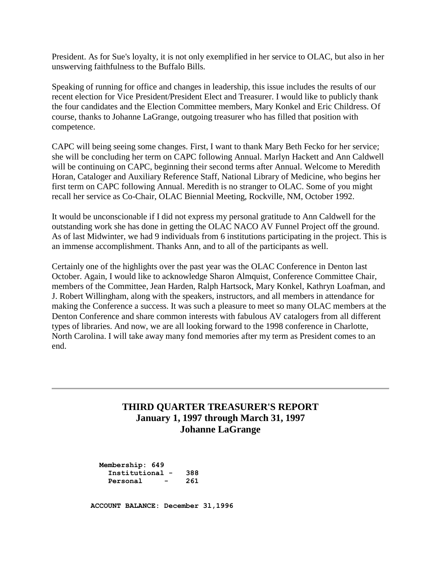President. As for Sue's loyalty, it is not only exemplified in her service to OLAC, but also in her unswerving faithfulness to the Buffalo Bills.

Speaking of running for office and changes in leadership, this issue includes the [results of our](http://ublib.buffalo.edu/libraries/units/cts/olac/newsletters/june97.html#election)  [recent election](http://ublib.buffalo.edu/libraries/units/cts/olac/newsletters/june97.html#election) for Vice President/President Elect and Treasurer. I would like to publicly thank the four candidates and the Election Committee members, Mary Konkel and Eric Childress. Of course, thanks to Johanne LaGrange, outgoing treasurer who has filled that position with competence.

CAPC will being seeing some changes. First, I want to thank Mary Beth Fecko for her service; she will be concluding her term on CAPC following Annual. Marlyn Hackett and Ann Caldwell will be continuing on CAPC, beginning their second terms after Annual. Welcome to Meredith Horan, Cataloger and Auxiliary Reference Staff, National Library of Medicine, who begins her first term on CAPC following Annual. Meredith is no stranger to OLAC. Some of you might recall her service as Co-Chair, OLAC Biennial Meeting, Rockville, NM, October 1992.

It would be unconscionable if I did not express my personal gratitude to Ann Caldwell for the outstanding work she has done in getting the OLAC NACO AV Funnel Project off the ground. As of last Midwinter, we had 9 individuals from 6 institutions participating in the project. This is an immense accomplishment. Thanks Ann, and to all of the participants as well.

Certainly one of the highlights over the past year was the OLAC Conference in Denton last October. Again, I would like to acknowledge Sharon Almquist, Conference Committee Chair, members of the Committee, Jean Harden, Ralph Hartsock, Mary Konkel, Kathryn Loafman, and J. Robert Willingham, along with the speakers, instructors, and all members in attendance for making the Conference a success. It was such a pleasure to meet so many OLAC members at the Denton Conference and share common interests with fabulous AV catalogers from all different types of libraries. And now, we are all looking forward to the 1998 conference in Charlotte, North Carolina. I will take away many fond memories after my term as President comes to an end.

## **THIRD QUARTER TREASURER'S REPORT January 1, 1997 through March 31, 1997 Johanne LaGrange**

 **Membership: 649 Institutional - 388 Personal - 261**

 **ACCOUNT BALANCE: December 3l,1996**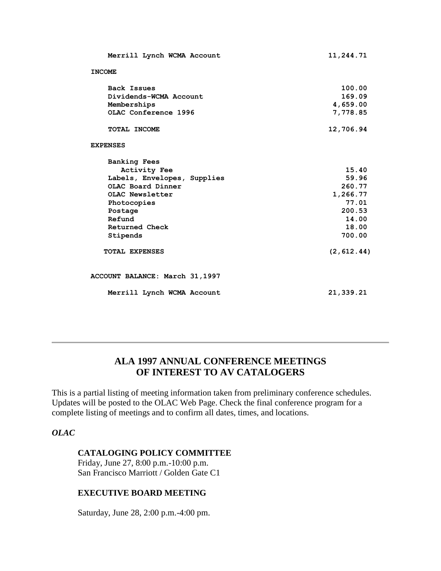| Merrill Lynch WCMA Account     | 11,244.71   |
|--------------------------------|-------------|
| <b>INCOME</b>                  |             |
| <b>Back Issues</b>             | 100.00      |
| Dividends-WCMA Account         | 169.09      |
| Memberships                    | 4,659.00    |
| OLAC Conference 1996           | 7,778.85    |
| TOTAL INCOME                   | 12,706.94   |
| <b>EXPENSES</b>                |             |
| <b>Banking Fees</b>            |             |
| <b>Activity Fee</b>            | 15.40       |
| Labels, Envelopes, Supplies    | 59.96       |
| OLAC Board Dinner              | 260.77      |
| OLAC Newsletter                | 1,266.77    |
| Photocopies                    | 77.01       |
| Postage                        | 200.53      |
| Refund                         | 14.00       |
| Returned Check                 | 18.00       |
| Stipends                       | 700.00      |
| <b>TOTAL EXPENSES</b>          | (2, 612.44) |
| ACCOUNT BALANCE: March 31,1997 |             |
| Merrill Lynch WCMA Account     | 21,339.21   |

## **ALA 1997 ANNUAL CONFERENCE MEETINGS OF INTEREST TO AV CATALOGERS**

This is a partial listing of meeting information taken from preliminary conference schedules. Updates will be posted to the OLAC Web Page. Check the final conference program for a complete listing of meetings and to confirm all dates, times, and locations.

### *OLAC*

### **CATALOGING POLICY COMMITTEE**

Friday, June 27, 8:00 p.m.-10:00 p.m. San Francisco Marriott / Golden Gate C1

### **EXECUTIVE BOARD MEETING**

Saturday, June 28, 2:00 p.m.-4:00 pm.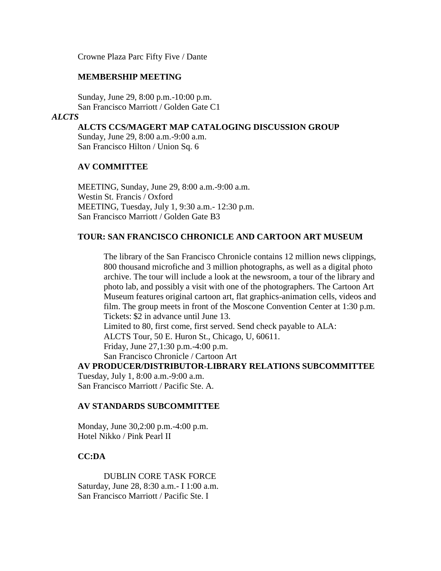Crowne Plaza Parc Fifty Five / Dante

### **MEMBERSHIP MEETING**

Sunday, June 29, 8:00 p.m.-10:00 p.m. San Francisco Marriott / Golden Gate C1

#### *ALCTS*

### **ALCTS CCS/MAGERT MAP CATALOGING DISCUSSION GROUP**

Sunday, June 29, 8:00 a.m.-9:00 a.m. San Francisco Hilton / Union Sq. 6

### **AV COMMITTEE**

MEETING, Sunday, June 29, 8:00 a.m.-9:00 a.m. Westin St. Francis / Oxford MEETING, Tuesday, July 1, 9:30 a.m.- 12:30 p.m. San Francisco Marriott / Golden Gate B3

### **TOUR: SAN FRANCISCO CHRONICLE AND CARTOON ART MUSEUM**

The library of the San Francisco Chronicle contains 12 million news clippings, 800 thousand microfiche and 3 million photographs, as well as a digital photo archive. The tour will include a look at the newsroom, a tour of the library and photo lab, and possibly a visit with one of the photographers. The Cartoon Art Museum features original cartoon art, flat graphics-animation cells, videos and film. The group meets in front of the Moscone Convention Center at 1:30 p.m. Tickets: \$2 in advance until June 13. Limited to 80, first come, first served. Send check payable to ALA: ALCTS Tour, 50 E. Huron St., Chicago, U, 60611.

Friday, June 27,1:30 p.m.-4:00 p.m.

San Francisco Chronicle / Cartoon Art

## **AV PRODUCER/DISTRIBUTOR-LIBRARY RELATIONS SUBCOMMITTEE** Tuesday, July 1, 8:00 a.m.-9:00 a.m.

San Francisco Marriott / Pacific Ste. A.

### **AV STANDARDS SUBCOMMITTEE**

Monday, June 30,2:00 p.m.-4:00 p.m. Hotel Nikko / Pink Pearl II

#### **CC:DA**

DUBLIN CORE TASK FORCE Saturday, June 28, 8:30 a.m.- I 1:00 a.m. San Francisco Marriott / Pacific Ste. I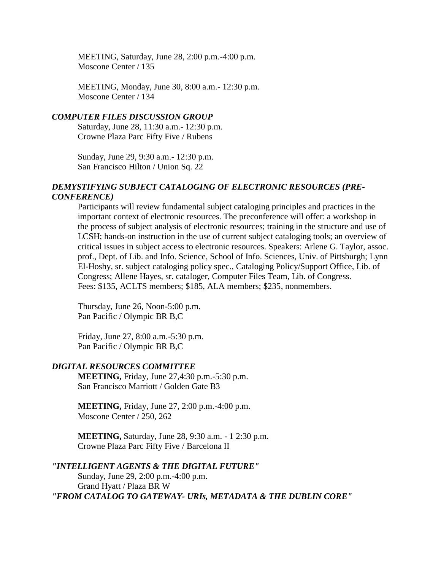MEETING, Saturday, June 28, 2:00 p.m.-4:00 p.m. Moscone Center / 135

MEETING, Monday, June 30, 8:00 a.m.- 12:30 p.m. Moscone Center / 134

#### *COMPUTER FILES DISCUSSION GROUP*

Saturday, June 28, 11:30 a.m.- 12:30 p.m. Crowne Plaza Parc Fifty Five / Rubens

Sunday, June 29, 9:30 a.m.- 12:30 p.m. San Francisco Hilton / Union Sq. 22

### *DEMYSTIFYING SUBJECT CATALOGING OF ELECTRONIC RESOURCES (PRE-CONFERENCE)*

Participants will review fundamental subject cataloging principles and practices in the important context of electronic resources. The preconference will offer: a workshop in the process of subject analysis of electronic resources; training in the structure and use of LCSH; hands-on instruction in the use of current subject cataloging tools; an overview of critical issues in subject access to electronic resources. Speakers: Arlene G. Taylor, assoc. prof., Dept. of Lib. and Info. Science, School of Info. Sciences, Univ. of Pittsburgh; Lynn El-Hoshy, sr. subject cataloging policy spec., Cataloging Policy/Support Office, Lib. of Congress; Allene Hayes, sr. cataloger, Computer Files Team, Lib. of Congress. Fees: \$135, ACLTS members; \$185, ALA members; \$235, nonmembers.

Thursday, June 26, Noon-5:00 p.m. Pan Pacific / Olympic BR B,C

Friday, June 27, 8:00 a.m.-5:30 p.m. Pan Pacific / Olympic BR B,C

### *DIGITAL RESOURCES COMMITTEE*

**MEETING,** Friday, June 27,4:30 p.m.-5:30 p.m. San Francisco Marriott / Golden Gate B3

**MEETING,** Friday, June 27, 2:00 p.m.-4:00 p.m. Moscone Center / 250, 262

**MEETING,** Saturday, June 28, 9:30 a.m. - 1 2:30 p.m. Crowne Plaza Parc Fifty Five / Barcelona II

*"INTELLIGENT AGENTS & THE DIGITAL FUTURE"* Sunday, June 29, 2:00 p.m.-4:00 p.m. Grand Hyatt / Plaza BR W *"FROM CATALOG TO GATEWAY- URIs, METADATA & THE DUBLIN CORE"*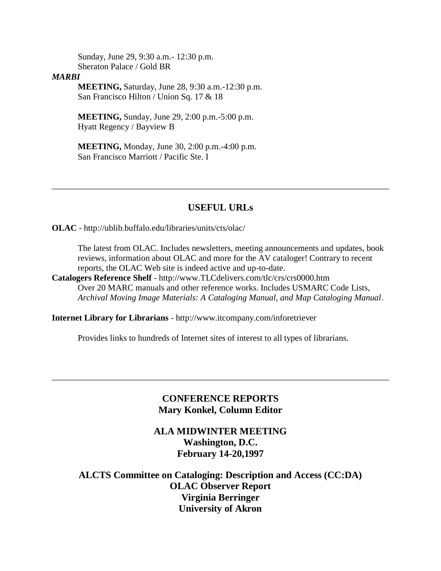Sunday, June 29, 9:30 a.m.- 12:30 p.m. Sheraton Palace / Gold BR

#### *MARBI*

**MEETING,** Saturday, June 28, 9:30 a.m.-12:30 p.m. San Francisco Hilton / Union Sq. 17 & 18

**MEETING,** Sunday, June 29, 2:00 p.m.-5:00 p.m. Hyatt Regency / Bayview B

**MEETING,** Monday, June 30, 2:00 p.m.-4:00 p.m. San Francisco Marriott / Pacific Ste. I

## **USEFUL URLs**

**OLAC** - <http://ublib.buffalo.edu/libraries/units/cts/olac/>

The latest from OLAC. Includes newsletters, meeting announcements and updates, book reviews, information about OLAC and more for the AV cataloger! Contrary to recent reports, the OLAC Web site is indeed active and up-to-date.

**Catalogers Reference Shelf** - [http://www.TLCdelivers.com/tlc/crs/crs0000.htm](http://www.tlcdelivers.com/tlc/crs/crs0000.htm) Over 20 MARC manuals and other reference works. Includes USMARC Code Lists, *Archival Moving Image Materials: A Cataloging Manual, and Map Cataloging Manual*.

**Internet Library for Librarians** - [http://www.itcompany.com/inforetriever](http://www.itcompany.com/inforetriever/)

Provides links to hundreds of Internet sites of interest to all types of librarians.

## **CONFERENCE REPORTS Mary Konkel, Column Editor**

## **ALA MIDWINTER MEETING Washington, D.C. February 14-20,1997**

**ALCTS Committee on Cataloging: Description and Access (CC:DA) OLAC Observer Report Virginia Berringer University of Akron**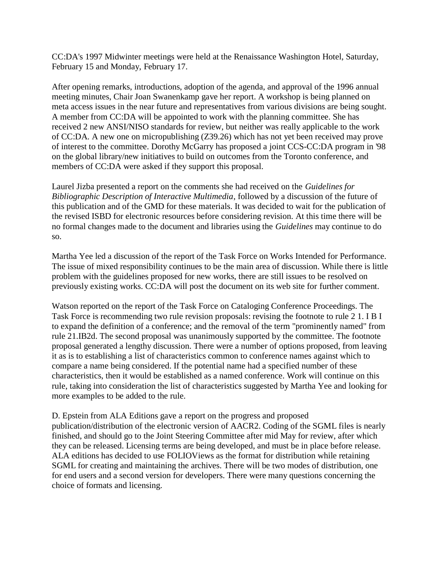CC:DA's 1997 Midwinter meetings were held at the Renaissance Washington Hotel, Saturday, February 15 and Monday, February 17.

After opening remarks, introductions, adoption of the agenda, and approval of the 1996 annual meeting minutes, Chair Joan Swanenkamp gave her report. A workshop is being planned on meta access issues in the near future and representatives from various divisions are being sought. A member from CC:DA will be appointed to work with the planning committee. She has received 2 new ANSI/NISO standards for review, but neither was really applicable to the work of CC:DA. A new one on micropublishing (Z39.26) which has not yet been received may prove of interest to the committee. Dorothy McGarry has proposed a joint CCS-CC:DA program in '98 on the global library/new initiatives to build on outcomes from the Toronto conference, and members of CC:DA were asked if they support this proposal.

Laurel Jizba presented a report on the comments she had received on the *Guidelines for Bibliographic Description of Interactive Multimedia*, followed by a discussion of the future of this publication and of the GMD for these materials. It was decided to wait for the publication of the revised ISBD for electronic resources before considering revision. At this time there will be no formal changes made to the document and libraries using the *Guidelines* may continue to do so.

Martha Yee led a discussion of the report of the Task Force on Works Intended for Performance. The issue of mixed responsibility continues to be the main area of discussion. While there is little problem with the guidelines proposed for new works, there are still issues to be resolved on previously existing works. CC:DA will post the document on its web site for further comment.

Watson reported on the report of the Task Force on Cataloging Conference Proceedings. The Task Force is recommending two rule revision proposals: revising the footnote to rule 2 1. I B I to expand the definition of a conference; and the removal of the term "prominently named" from rule 21.IB2d. The second proposal was unanimously supported by the committee. The footnote proposal generated a lengthy discussion. There were a number of options proposed, from leaving it as is to establishing a list of characteristics common to conference names against which to compare a name being considered. If the potential name had a specified number of these characteristics, then it would be established as a named conference. Work will continue on this rule, taking into consideration the list of characteristics suggested by Martha Yee and looking for more examples to be added to the rule.

D. Epstein from ALA Editions gave a report on the progress and proposed publication/distribution of the electronic version of AACR2. Coding of the SGML files is nearly finished, and should go to the Joint Steering Committee after mid May for review, after which they can be released. Licensing terms are being developed, and must be in place before release. ALA editions has decided to use FOLIOViews as the format for distribution while retaining SGML for creating and maintaining the archives. There will be two modes of distribution, one for end users and a second version for developers. There were many questions concerning the choice of formats and licensing.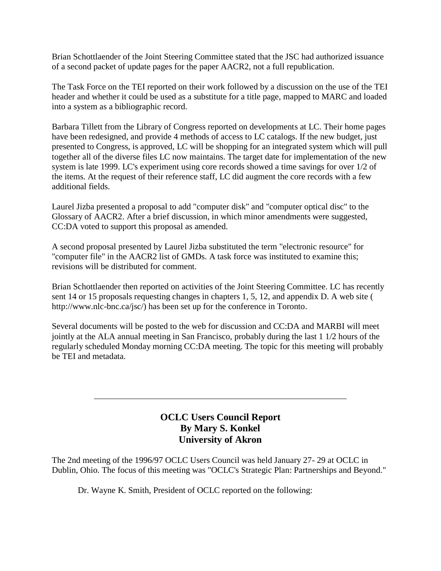Brian Schottlaender of the Joint Steering Committee stated that the JSC had authorized issuance of a second packet of update pages for the paper AACR2, not a full republication.

The Task Force on the TEI reported on their work followed by a discussion on the use of the TEI header and whether it could be used as a substitute for a title page, mapped to MARC and loaded into a system as a bibliographic record.

Barbara Tillett from the Library of Congress reported on developments at LC. Their home pages have been redesigned, and provide 4 methods of access to LC catalogs. If the new budget, just presented to Congress, is approved, LC will be shopping for an integrated system which will pull together all of the diverse files LC now maintains. The target date for implementation of the new system is late 1999. LC's experiment using core records showed a time savings for over 1/2 of the items. At the request of their reference staff, LC did augment the core records with a few additional fields.

Laurel Jizba presented a proposal to add "computer disk" and "computer optical disc" to the Glossary of AACR2. After a brief discussion, in which minor amendments were suggested, CC:DA voted to support this proposal as amended.

A second proposal presented by Laurel Jizba substituted the term "electronic resource" for "computer file" in the AACR2 list of GMDs. A task force was instituted to examine this; revisions will be distributed for comment.

Brian Schottlaender then reported on activities of the Joint Steering Committee. LC has recently sent 14 or 15 proposals requesting changes in chapters 1, 5, 12, and appendix D. A web site [\(](http://www.nlc-bnc.ca/jsc/) [http://www.nlc-bnc.ca/jsc/\)](http://www.nlc-bnc.ca/jsc/) has been set up for the conference in Toronto.

Several documents will be posted to the web for discussion and CC:DA and MARBI will meet jointly at the ALA annual meeting in San Francisco, probably during the last 1 1/2 hours of the regularly scheduled Monday morning CC:DA meeting. The topic for this meeting will probably be TEI and metadata.

## **OCLC Users Council Report By Mary S. Konkel University of Akron**

The 2nd meeting of the 1996/97 OCLC Users Council was held January 27- 29 at OCLC in Dublin, Ohio. The focus of this meeting was "OCLC's Strategic Plan: Partnerships and Beyond."

Dr. Wayne K. Smith, President of OCLC reported on the following: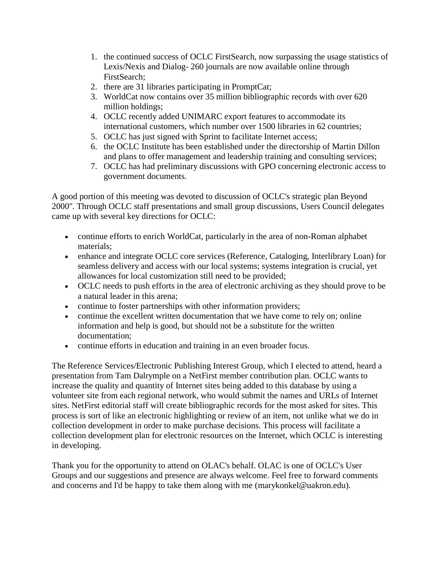- 1. the continued success of OCLC FirstSearch, now surpassing the usage statistics of Lexis/Nexis and Dialog- 260 journals are now available online through FirstSearch;
- 2. there are 31 libraries participating in PromptCat;
- 3. WorldCat now contains over 35 million bibliographic records with over 620 million holdings;
- 4. OCLC recently added UNIMARC export features to accommodate its international customers, which number over 1500 libraries in 62 countries;
- 5. OCLC has just signed with Sprint to facilitate Internet access;
- 6. the OCLC Institute has been established under the directorship of Martin Dillon and plans to offer management and leadership training and consulting services;
- 7. OCLC has had preliminary discussions with GPO concerning electronic access to government documents.

A good portion of this meeting was devoted to discussion of OCLC's strategic plan Beyond 2000". Through OCLC staff presentations and small group discussions, Users Council delegates came up with several key directions for OCLC:

- continue efforts to enrich WorldCat, particularly in the area of non-Roman alphabet materials;
- enhance and integrate OCLC core services (Reference, Cataloging, Interlibrary Loan) for seamless delivery and access with our local systems; systems integration is crucial, yet allowances for local customization still need to be provided;
- OCLC needs to push efforts in the area of electronic archiving as they should prove to be a natural leader in this arena;
- continue to foster partnerships with other information providers;
- continue the excellent written documentation that we have come to rely on; online information and help is good, but should not be a substitute for the written documentation;
- continue efforts in education and training in an even broader focus.

The Reference Services/Electronic Publishing Interest Group, which I elected to attend, heard a presentation from Tam Dalrymple on a NetFirst member contribution plan. OCLC wants to increase the quality and quantity of Internet sites being added to this database by using a volunteer site from each regional network, who would submit the names and URLs of Internet sites. NetFirst editorial staff will create bibliographic records for the most asked for sites. This process is sort of like an electronic highlighting or review of an item, not unlike what we do in collection development in order to make purchase decisions. This process will facilitate a collection development plan for electronic resources on the Internet, which OCLC is interesting in developing.

Thank you for the opportunity to attend on OLAC's behalf. OLAC is one of OCLC's User Groups and our suggestions and presence are always welcome. Feel free to forward comments and concerns and I'd be happy to take them along with me [\(marykonkel@uakron.edu\)](mailto:marykonkel@uakron.edu).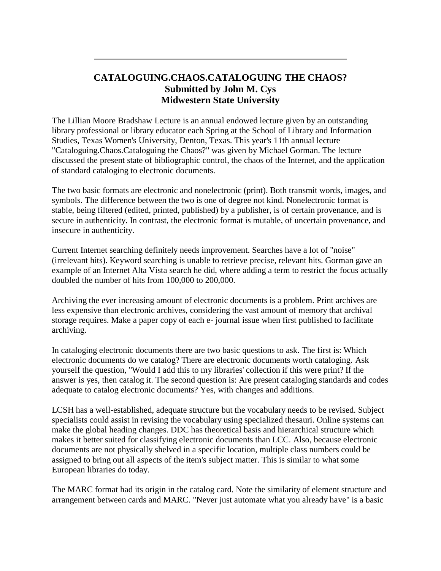## **CATALOGUING.CHAOS.CATALOGUING THE CHAOS? Submitted by John M. Cys Midwestern State University**

The Lillian Moore Bradshaw Lecture is an annual endowed lecture given by an outstanding library professional or library educator each Spring at the School of Library and Information Studies, Texas Women's University, Denton, Texas. This year's 11th annual lecture "Cataloguing.Chaos.Cataloguing the Chaos?" was given by Michael Gorman. The lecture discussed the present state of bibliographic control, the chaos of the Internet, and the application of standard cataloging to electronic documents.

The two basic formats are electronic and nonelectronic (print). Both transmit words, images, and symbols. The difference between the two is one of degree not kind. Nonelectronic format is stable, being filtered (edited, printed, published) by a publisher, is of certain provenance, and is secure in authenticity. In contrast, the electronic format is mutable, of uncertain provenance, and insecure in authenticity.

Current Internet searching definitely needs improvement. Searches have a lot of "noise" (irrelevant hits). Keyword searching is unable to retrieve precise, relevant hits. Gorman gave an example of an Internet Alta Vista search he did, where adding a term to restrict the focus actually doubled the number of hits from 100,000 to 200,000.

Archiving the ever increasing amount of electronic documents is a problem. Print archives are less expensive than electronic archives, considering the vast amount of memory that archival storage requires. Make a paper copy of each e- journal issue when first published to facilitate archiving.

In cataloging electronic documents there are two basic questions to ask. The first is: Which electronic documents do we catalog? There are electronic documents worth cataloging. Ask yourself the question, "Would I add this to my libraries' collection if this were print? If the answer is yes, then catalog it. The second question is: Are present cataloging standards and codes adequate to catalog electronic documents? Yes, with changes and additions.

LCSH has a well-established, adequate structure but the vocabulary needs to be revised. Subject specialists could assist in revising the vocabulary using specialized thesauri. Online systems can make the global heading changes. DDC has theoretical basis and hierarchical structure which makes it better suited for classifying electronic documents than LCC. Also, because electronic documents are not physically shelved in a specific location, multiple class numbers could be assigned to bring out all aspects of the item's subject matter. This is similar to what some European libraries do today.

The MARC format had its origin in the catalog card. Note the similarity of element structure and arrangement between cards and MARC. "Never just automate what you already have" is a basic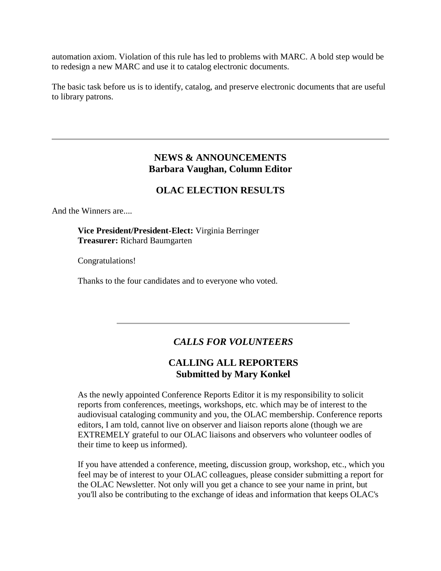automation axiom. Violation of this rule has led to problems with MARC. A bold step would be to redesign a new MARC and use it to catalog electronic documents.

The basic task before us is to identify, catalog, and preserve electronic documents that are useful to library patrons.

## **NEWS & ANNOUNCEMENTS Barbara Vaughan, Column Editor**

## **OLAC ELECTION RESULTS**

And the Winners are....

### **Vice President/President-Elect:** Virginia Berringer **Treasurer:** Richard Baumgarten

Congratulations!

Thanks to the four candidates and to everyone who voted.

## *CALLS FOR VOLUNTEERS*

## **CALLING ALL REPORTERS Submitted by Mary Konkel**

As the newly appointed Conference Reports Editor it is my responsibility to solicit reports from conferences, meetings, workshops, etc. which may be of interest to the audiovisual cataloging community and you, the OLAC membership. Conference reports editors, I am told, cannot live on observer and liaison reports alone (though we are EXTREMELY grateful to our OLAC liaisons and observers who volunteer oodles of their time to keep us informed).

If you have attended a conference, meeting, discussion group, workshop, etc., which you feel may be of interest to your OLAC colleagues, please consider submitting a report for the OLAC Newsletter. Not only will you get a chance to see your name in print, but you'll also be contributing to the exchange of ideas and information that keeps OLAC's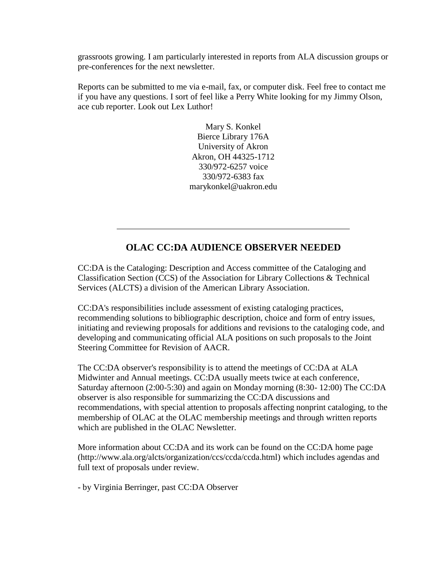grassroots growing. I am particularly interested in reports from ALA discussion groups or pre-conferences for the next newsletter.

Reports can be submitted to me via e-mail, fax, or computer disk. Feel free to contact me if you have any questions. I sort of feel like a Perry White looking for my Jimmy Olson, ace cub reporter. Look out Lex Luthor!

> Mary S. Konkel Bierce Library 176A University of Akron Akron, OH 44325-1712 330/972-6257 voice 330/972-6383 fax [marykonkel@uakron.edu](mailto:marykonkel@uakron.edu)

## **OLAC CC:DA AUDIENCE OBSERVER NEEDED**

CC:DA is the Cataloging: Description and Access committee of the Cataloging and Classification Section (CCS) of the Association for Library Collections & Technical Services (ALCTS) a division of the American Library Association.

CC:DA's responsibilities include assessment of existing cataloging practices, recommending solutions to bibliographic description, choice and form of entry issues, initiating and reviewing proposals for additions and revisions to the cataloging code, and developing and communicating official ALA positions on such proposals to the Joint Steering Committee for Revision of AACR.

The CC:DA observer's responsibility is to attend the meetings of CC:DA at ALA Midwinter and Annual meetings. CC:DA usually meets twice at each conference, Saturday afternoon (2:00-5:30) and again on Monday morning (8:30- 12:00) The CC:DA observer is also responsible for summarizing the CC:DA discussions and recommendations, with special attention to proposals affecting nonprint cataloging, to the membership of OLAC at the OLAC membership meetings and through written reports which are published in the OLAC Newsletter.

More information about CC:DA and its work can be found on the CC:DA home pag[e](http://www.ala.org/alcts/organization/ccs/ccda/ccda.html) [\(http://www.ala.org/alcts/organization/ccs/ccda/ccda.html\)](http://www.ala.org/alcts/organization/ccs/ccda/ccda.html) which includes agendas and full text of proposals under review.

- by Virginia Berringer, past CC:DA Observer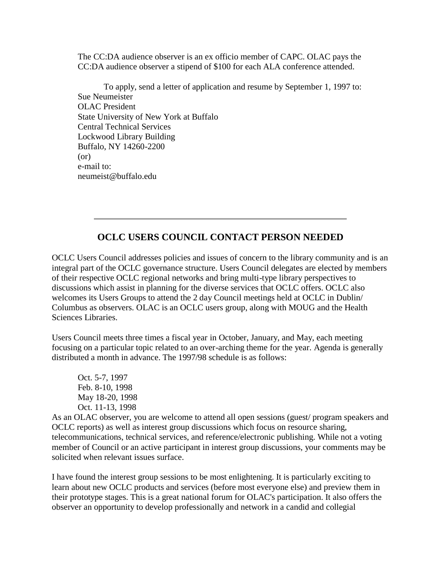The CC:DA audience observer is an ex officio member of CAPC. OLAC pays the CC:DA audience observer a stipend of \$100 for each ALA conference attended.

To apply, send a letter of application and resume by September 1, 1997 to: Sue Neumeister OLAC President State University of New York at Buffalo Central Technical Services Lockwood Library Building Buffalo, NY 14260-2200 (or) e-mail to: [neumeist@buffalo.edu](mailto:neumeist@buffalo.edu)

## **OCLC USERS COUNCIL CONTACT PERSON NEEDED**

OCLC Users Council addresses policies and issues of concern to the library community and is an integral part of the OCLC governance structure. Users Council delegates are elected by members of their respective OCLC regional networks and bring multi-type library perspectives to discussions which assist in planning for the diverse services that OCLC offers. OCLC also welcomes its Users Groups to attend the 2 day Council meetings held at OCLC in Dublin/ Columbus as observers. OLAC is an OCLC users group, along with MOUG and the Health Sciences Libraries.

Users Council meets three times a fiscal year in October, January, and May, each meeting focusing on a particular topic related to an over-arching theme for the year. Agenda is generally distributed a month in advance. The 1997/98 schedule is as follows:

Oct. 5-7, 1997 Feb. 8-10, 1998 May 18-20, 1998 Oct. 11-13, 1998

As an OLAC observer, you are welcome to attend all open sessions (guest/ program speakers and OCLC reports) as well as interest group discussions which focus on resource sharing, telecommunications, technical services, and reference/electronic publishing. While not a voting member of Council or an active participant in interest group discussions, your comments may be solicited when relevant issues surface.

I have found the interest group sessions to be most enlightening. It is particularly exciting to learn about new OCLC products and services (before most everyone else) and preview them in their prototype stages. This is a great national forum for OLAC's participation. It also offers the observer an opportunity to develop professionally and network in a candid and collegial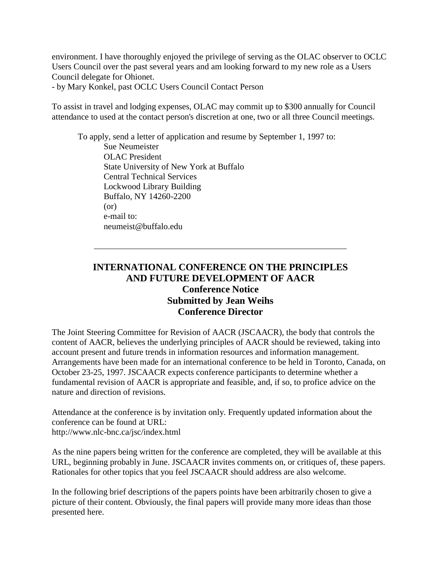environment. I have thoroughly enjoyed the privilege of serving as the OLAC observer to OCLC Users Council over the past several years and am looking forward to my new role as a Users Council delegate for Ohionet.

- by Mary Konkel, past OCLC Users Council Contact Person

To assist in travel and lodging expenses, OLAC may commit up to \$300 annually for Council attendance to used at the contact person's discretion at one, two or all three Council meetings.

To apply, send a letter of application and resume by September 1, 1997 to: Sue Neumeister OLAC President State University of New York at Buffalo Central Technical Services Lockwood Library Building Buffalo, NY 14260-2200 (or) e-mail to: [neumeist@buffalo.edu](mailto:neumeist@buffalo.edu)

## **INTERNATIONAL CONFERENCE ON THE PRINCIPLES AND FUTURE DEVELOPMENT OF AACR Conference Notice Submitted by Jean Weihs Conference Director**

The Joint Steering Committee for Revision of AACR (JSCAACR), the body that controls the content of AACR, believes the underlying principles of AACR should be reviewed, taking into account present and future trends in information resources and information management. Arrangements have been made for an international conference to be held in Toronto, Canada, on October 23-25, 1997. JSCAACR expects conference participants to determine whether a fundamental revision of AACR is appropriate and feasible, and, if so, to profice advice on the nature and direction of revisions.

Attendance at the conference is by invitation only. Frequently updated information about the conference can be found at URL: <http://www.nlc-bnc.ca/jsc/index.html>

As the nine papers being written for the conference are completed, they will be available at this URL, beginning probably in June. JSCAACR invites comments on, or critiques of, these papers. Rationales for other topics that you feel JSCAACR should address are also welcome.

In the following brief descriptions of the papers points have been arbitrarily chosen to give a picture of their content. Obviously, the final papers will provide many more ideas than those presented here.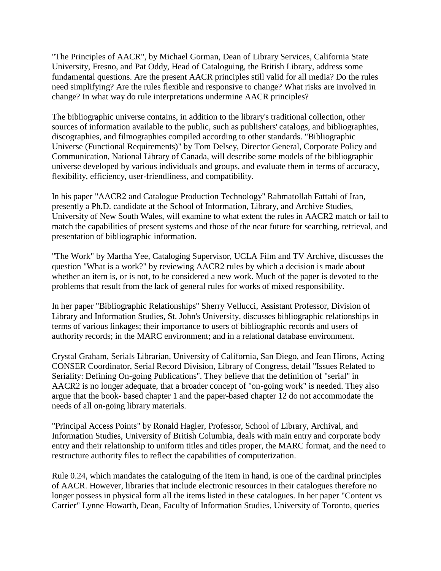"The Principles of AACR", by Michael Gorman, Dean of Library Services, California State University, Fresno, and Pat Oddy, Head of Cataloguing, the British Library, address some fundamental questions. Are the present AACR principles still valid for all media? Do the rules need simplifying? Are the rules flexible and responsive to change? What risks are involved in change? In what way do rule interpretations undermine AACR principles?

The bibliographic universe contains, in addition to the library's traditional collection, other sources of information available to the public, such as publishers' catalogs, and bibliographies, discographies, and filmographies compiled according to other standards. "Bibliographic Universe (Functional Requirements)" by Tom Delsey, Director General, Corporate Policy and Communication, National Library of Canada, will describe some models of the bibliographic universe developed by various individuals and groups, and evaluate them in terms of accuracy, flexibility, efficiency, user-friendliness, and compatibility.

In his paper "AACR2 and Catalogue Production Technology" Rahmatollah Fattahi of Iran, presently a Ph.D. candidate at the School of Information, Library, and Archive Studies, University of New South Wales, will examine to what extent the rules in AACR2 match or fail to match the capabilities of present systems and those of the near future for searching, retrieval, and presentation of bibliographic information.

"The Work" by Martha Yee, Cataloging Supervisor, UCLA Film and TV Archive, discusses the question "What is a work?" by reviewing AACR2 rules by which a decision is made about whether an item is, or is not, to be considered a new work. Much of the paper is devoted to the problems that result from the lack of general rules for works of mixed responsibility.

In her paper "Bibliographic Relationships" Sherry Vellucci, Assistant Professor, Division of Library and Information Studies, St. John's University, discusses bibliographic relationships in terms of various linkages; their importance to users of bibliographic records and users of authority records; in the MARC environment; and in a relational database environment.

Crystal Graham, Serials Librarian, University of California, San Diego, and Jean Hirons, Acting CONSER Coordinator, Serial Record Division, Library of Congress, detail "Issues Related to Seriality: Defining On-going Publications". They believe that the definition of "serial" in AACR2 is no longer adequate, that a broader concept of "on-going work" is needed. They also argue that the book- based chapter 1 and the paper-based chapter 12 do not accommodate the needs of all on-going library materials.

"Principal Access Points" by Ronald Hagler, Professor, School of Library, Archival, and Information Studies, University of British Columbia, deals with main entry and corporate body entry and their relationship to uniform titles and titles proper, the MARC format, and the need to restructure authority files to reflect the capabilities of computerization.

Rule 0.24, which mandates the cataloguing of the item in hand, is one of the cardinal principles of AACR. However, libraries that include electronic resources in their catalogues therefore no longer possess in physical form all the items listed in these catalogues. In her paper "Content vs Carrier" Lynne Howarth, Dean, Faculty of Information Studies, University of Toronto, queries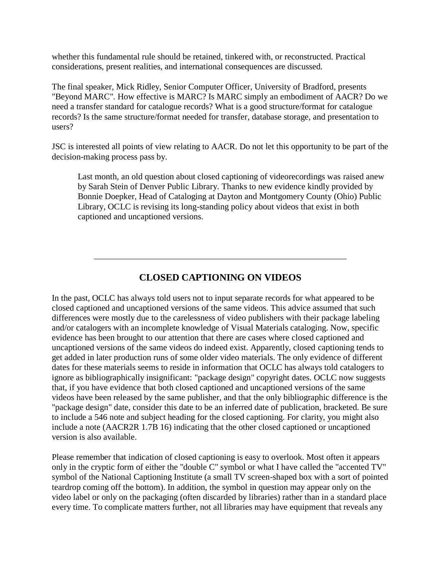whether this fundamental rule should be retained, tinkered with, or reconstructed. Practical considerations, present realities, and international consequences are discussed.

The final speaker, Mick Ridley, Senior Computer Officer, University of Bradford, presents "Beyond MARC". How effective is MARC? Is MARC simply an embodiment of AACR? Do we need a transfer standard for catalogue records? What is a good structure/format for catalogue records? Is the same structure/format needed for transfer, database storage, and presentation to users?

JSC is interested all points of view relating to AACR. Do not let this opportunity to be part of the decision-making process pass by.

Last month, an old question about closed captioning of videorecordings was raised anew by Sarah Stein of Denver Public Library. Thanks to new evidence kindly provided by Bonnie Doepker, Head of Cataloging at Dayton and Montgomery County (Ohio) Public Library, OCLC is revising its long-standing policy about videos that exist in both captioned and uncaptioned versions.

## **CLOSED CAPTIONING ON VIDEOS**

In the past, OCLC has always told users not to input separate records for what appeared to be closed captioned and uncaptioned versions of the same videos. This advice assumed that such differences were mostly due to the carelessness of video publishers with their package labeling and/or catalogers with an incomplete knowledge of Visual Materials cataloging. Now, specific evidence has been brought to our attention that there are cases where closed captioned and uncaptioned versions of the same videos do indeed exist. Apparently, closed captioning tends to get added in later production runs of some older video materials. The only evidence of different dates for these materials seems to reside in information that OCLC has always told catalogers to ignore as bibliographically insignificant: "package design" copyright dates. OCLC now suggests that, if you have evidence that both closed captioned and uncaptioned versions of the same videos have been released by the same publisher, and that the only bibliographic difference is the "package design" date, consider this date to be an inferred date of publication, bracketed. Be sure to include a 546 note and subject heading for the closed captioning. For clarity, you might also include a note (AACR2R 1.7B 16) indicating that the other closed captioned or uncaptioned version is also available.

Please remember that indication of closed captioning is easy to overlook. Most often it appears only in the cryptic form of either the "double C" symbol or what I have called the "accented TV" symbol of the National Captioning Institute (a small TV screen-shaped box with a sort of pointed teardrop coming off the bottom). In addition, the symbol in question may appear only on the video label or only on the packaging (often discarded by libraries) rather than in a standard place every time. To complicate matters further, not all libraries may have equipment that reveals any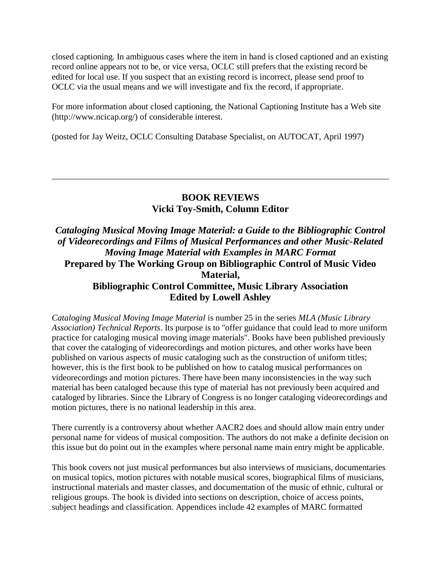closed captioning. In ambiguous cases where the item in hand is closed captioned and an existing record online appears not to be, or vice versa, OCLC still prefers that the existing record be edited for local use. If you suspect that an existing record is incorrect, please send proof to OCLC via the usual means and we will investigate and fix the record, if appropriate.

For more information about closed captioning, the National Captioning Institute has a Web site [\(http://www.ncicap.org/\)](http://www.ncicap.org/) of considerable interest.

(posted for Jay Weitz, OCLC Consulting Database Specialist, on AUTOCAT, April 1997)

## **BOOK REVIEWS Vicki Toy-Smith, Column Editor**

## *Cataloging Musical Moving Image Material: a Guide to the Bibliographic Control of Videorecordings and Films of Musical Performances and other Music-Related Moving Image Material with Examples in MARC Format* **Prepared by The Working Group on Bibliographic Control of Music Video Material, Bibliographic Control Committee, Music Library Association Edited by Lowell Ashley**

*Cataloging Musical Moving Image Material* is number 25 in the series *MLA (Music Library Association) Technical Reports*. Its purpose is to "offer guidance that could lead to more uniform practice for cataloging musical moving image materials". Books have been published previously that cover the cataloging of videorecordings and motion pictures, and other works have been published on various aspects of music cataloging such as the construction of uniform titles; however, this is the first book to be published on how to catalog musical performances on videorecordings and motion pictures. There have been many inconsistencies in the way such material has been cataloged because this type of material has not previously been acquired and cataloged by libraries. Since the Library of Congress is no longer cataloging videorecordings and motion pictures, there is no national leadership in this area.

There currently is a controversy about whether AACR2 does and should allow main entry under personal name for videos of musical composition. The authors do not make a definite decision on this issue but do point out in the examples where personal name main entry might be applicable.

This book covers not just musical performances but also interviews of musicians, documentaries on musical topics, motion pictures with notable musical scores, biographical films of musicians, instructional materials and master classes, and documentation of the music of ethnic, cultural or religious groups. The book is divided into sections on description, choice of access points, subject headings and classification. Appendices include 42 examples of MARC formatted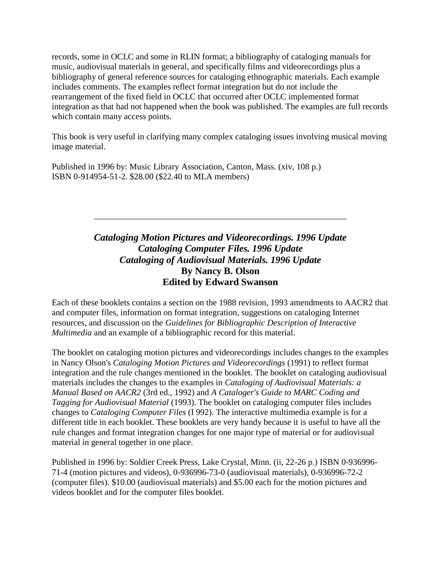records, some in OCLC and some in RLIN format; a bibliography of cataloging manuals for music, audiovisual materials in general, and specifically films and videorecordings plus a bibliography of general reference sources for cataloging ethnographic materials. Each example includes comments. The examples reflect format integration but do not include the rearrangement of the fixed field in OCLC that occurred after OCLC implemented format integration as that had not happened when the book was published. The examples are full records which contain many access points.

This book is very useful in clarifying many complex cataloging issues involving musical moving image material.

Published in 1996 by: Music Library Association, Canton, Mass. (xiv, 108 p.) ISBN 0-914954-51-2. \$28.00 (\$22.40 to MLA members)

## *Cataloging Motion Pictures and Videorecordings. 1996 Update Cataloging Computer Files. 1996 Update Cataloging of Audiovisual Materials. 1996 Update* **By Nancy B. Olson Edited by Edward Swanson**

Each of these booklets contains a section on the 1988 revision, 1993 amendments to AACR2 that and computer files, information on format integration, suggestions on cataloging Internet resources, and discussion on the *Guidelines for Bibliographic Description of Interactive Multimedia* and an example of a bibliographic record for this material.

The booklet on cataloging motion pictures and videorecordings includes changes to the examples in Nancy Olson's *Cataloging Motion Pictures and Videorecordings* (1991) to reflect format integration and the rule changes mentioned in the booklet. The booklet on cataloging audiovisual materials includes the changes to the examples in *Cataloging of Audiovisual Materials: a Manual Based on AACR2* (3rd ed., 1992) and *A Cataloger's Guide to MARC Coding and Tagging for Audiovisual Material* (1993). The booklet on cataloging computer files includes changes to *Cataloging Computer Files* (I 992). The interactive multimedia example is for a different title in each booklet. These booklets are very handy because it is useful to have all the rule changes and format integration changes for one major type of material or for audiovisual material in general together in one place.

Published in 1996 by: Soldier Creek Press, Lake Crystal, Minn. (ii, 22-26 p.) ISBN 0-936996- 71-4 (motion pictures and videos), 0-936996-73-0 (audiovisual materials), 0-936996-72-2 (computer files). \$10.00 (audiovisual materials) and \$5.00 each for the motion pictures and videos booklet and for the computer files booklet.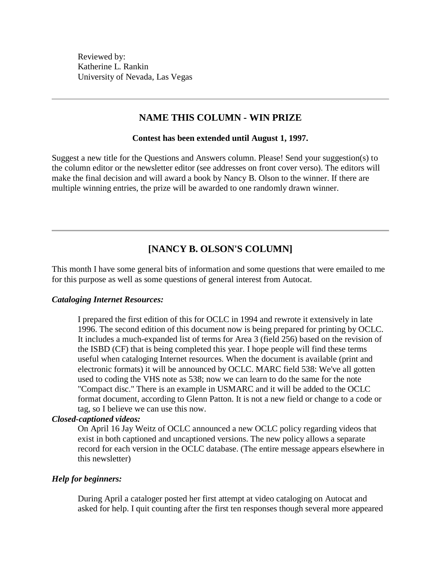Reviewed by: Katherine L. Rankin University of Nevada, Las Vegas

### **NAME THIS COLUMN - WIN PRIZE**

#### **Contest has been extended until August 1, 1997.**

Suggest a new title for the Questions and Answers column. Please! Send your suggestion(s) to the column editor or the newsletter editor (see addresses on front cover verso). The editors will make the final decision and will award a book by Nancy B. Olson to the winner. If there are multiple winning entries, the prize will be awarded to one randomly drawn winner.

## **[NANCY B. OLSON'S COLUMN]**

This month I have some general bits of information and some questions that were emailed to me for this purpose as well as some questions of general interest from Autocat.

#### *Cataloging Internet Resources:*

I prepared the first edition of this for OCLC in 1994 and rewrote it extensively in late 1996. The second edition of this document now is being prepared for printing by OCLC. It includes a much-expanded list of terms for Area 3 (field 256) based on the revision of the ISBD (CF) that is being completed this year. I hope people will find these terms useful when cataloging Internet resources. When the document is available (print and electronic formats) it will be announced by OCLC. MARC field 538: We've all gotten used to coding the VHS note as 538; now we can learn to do the same for the note "Compact disc." There is an example in USMARC and it will be added to the OCLC format document, according to Glenn Patton. It is not a new field or change to a code or tag, so I believe we can use this now.

#### *Closed-captioned videos:*

On April 16 Jay Weitz of OCLC announced a new OCLC policy regarding videos that exist in both captioned and uncaptioned versions. The new policy allows a separate record for each version in the OCLC database. (The entire message appears elsewhere in this newsletter)

#### *Help for beginners:*

During April a cataloger posted her first attempt at video cataloging on Autocat and asked for help. I quit counting after the first ten responses though several more appeared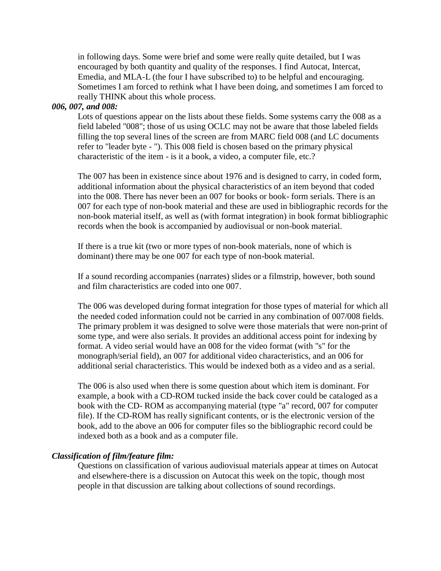in following days. Some were brief and some were really quite detailed, but I was encouraged by both quantity and quality of the responses. I find Autocat, Intercat, Emedia, and MLA-L (the four I have subscribed to) to be helpful and encouraging. Sometimes I am forced to rethink what I have been doing, and sometimes I am forced to really THINK about this whole process.

### *006, 007, and 008:*

Lots of questions appear on the lists about these fields. Some systems carry the 008 as a field labeled "008"; those of us using OCLC may not be aware that those labeled fields filling the top several lines of the screen are from MARC field 008 (and LC documents refer to "leader byte - "). This 008 field is chosen based on the primary physical characteristic of the item - is it a book, a video, a computer file, etc.?

The 007 has been in existence since about 1976 and is designed to carry, in coded form, additional information about the physical characteristics of an item beyond that coded into the 008. There has never been an 007 for books or book- form serials. There is an 007 for each type of non-book material and these are used in bibliographic records for the non-book material itself, as well as (with format integration) in book format bibliographic records when the book is accompanied by audiovisual or non-book material.

If there is a true kit (two or more types of non-book materials, none of which is dominant) there may be one 007 for each type of non-book material.

If a sound recording accompanies (narrates) slides or a filmstrip, however, both sound and film characteristics are coded into one 007.

The 006 was developed during format integration for those types of material for which all the needed coded information could not be carried in any combination of 007/008 fields. The primary problem it was designed to solve were those materials that were non-print of some type, and were also serials. It provides an additional access point for indexing by format. A video serial would have an 008 for the video format (with "s" for the monograph/serial field), an 007 for additional video characteristics, and an 006 for additional serial characteristics. This would be indexed both as a video and as a serial.

The 006 is also used when there is some question about which item is dominant. For example, a book with a CD-ROM tucked inside the back cover could be cataloged as a book with the CD- ROM as accompanying material (type "a" record, 007 for computer file). If the CD-ROM has really significant contents, or is the electronic version of the book, add to the above an 006 for computer files so the bibliographic record could be indexed both as a book and as a computer file.

#### *Classification of film/feature film:*

Questions on classification of various audiovisual materials appear at times on Autocat and elsewhere-there is a discussion on Autocat this week on the topic, though most people in that discussion are talking about collections of sound recordings.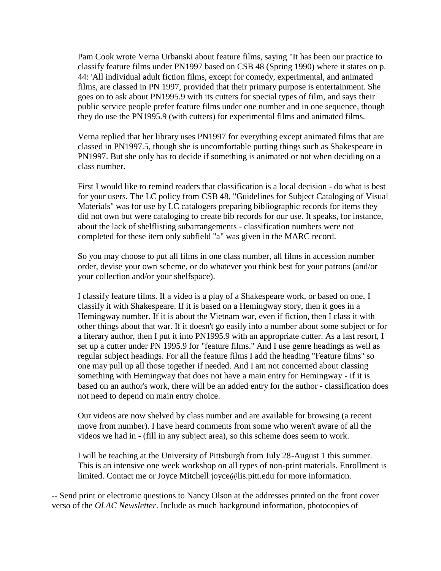Pam Cook wrote Verna Urbanski about feature films, saying "It has been our practice to classify feature films under PN1997 based on CSB 48 (Spring 1990) where it states on p. 44: 'All individual adult fiction films, except for comedy, experimental, and animated films, are classed in PN 1997, provided that their primary purpose is entertainment. She goes on to ask about PN1995.9 with its cutters for special types of film, and says their public service people prefer feature films under one number and in one sequence, though they do use the PN1995.9 (with cutters) for experimental films and animated films.

Verna replied that her library uses PN1997 for everything except animated films that are classed in PN1997.5, though she is uncomfortable putting things such as Shakespeare in PN1997. But she only has to decide if something is animated or not when deciding on a class number.

First I would like to remind readers that classification is a local decision - do what is best for your users. The LC policy from CSB 48, "Guidelines for Subject Cataloging of Visual Materials" was for use by LC catalogers preparing bibliographic records for items they did not own but were cataloging to create bib records for our use. It speaks, for instance, about the lack of shelflisting subarrangements - classification numbers were not completed for these item only subfield "a" was given in the MARC record.

So you may choose to put all films in one class number, all films in accession number order, devise your own scheme, or do whatever you think best for your patrons (and/or your collection and/or your shelfspace).

I classify feature films. If a video is a play of a Shakespeare work, or based on one, I classify it with Shakespeare. If it is based on a Hemingway story, then it goes in a Hemingway number. If it is about the Vietnam war, even if fiction, then I class it with other things about that war. If it doesn't go easily into a number about some subject or for a literary author, then I put it into PN1995.9 with an appropriate cutter. As a last resort, I set up a cutter under PN 1995.9 for "feature films." And I use genre headings as well as regular subject headings. For all the feature films I add the heading "Feature films" so one may pull up all those together if needed. And I am not concerned about classing something with Hemingway that does not have a main entry for Hemingway - if it is based on an author's work, there will be an added entry for the author - classification does not need to depend on main entry choice.

Our videos are now shelved by class number and are available for browsing (a recent move from number). I have heard comments from some who weren't aware of all the videos we had in - (fill in any subject area), so this scheme does seem to work.

I will be teaching at the University of Pittsburgh from July 28-August 1 this summer. This is an intensive one week workshop on all types of non-print materials. Enrollment is limited. Contact me or Joyce Mitchell [joyce@lis.pitt.edu](mailto:joyce@lis.pitt.edu) for more information.

-- Send print or electronic questions to Nancy Olson at the addresses printed on the front cover verso of the *OLAC Newsletter*. Include as much background information, photocopies of